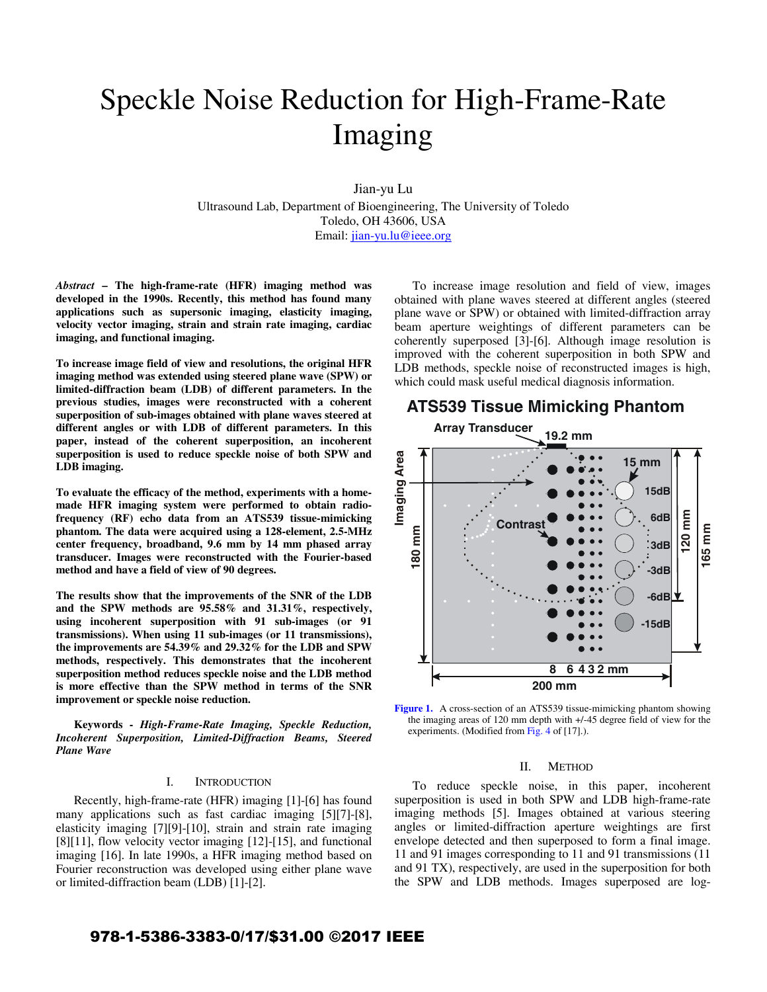# Speckle Noise Reduction for High-Frame-Rate Imaging

Jian-yu Lu

Ultrasound Lab, Department of Bioengineering, The University of Toledo Toledo, OH 43606, USA Email: jian-yu.lu@ieee.org

*Abstract* **– The high-frame-rate (HFR) imaging method was developed in the 1990s. Recently, this method has found many applications such as supersonic imaging, elasticity imaging, velocity vector imaging, strain and strain rate imaging, cardiac imaging, and functional imaging.** 

**To increase image field of view and resolutions, the original HFR imaging method was extended using steered plane wave (SPW) or limited-diffraction beam (LDB) of different parameters. In the previous studies, images were reconstructed with a coherent superposition of sub-images obtained with plane waves steered at different angles or with LDB of different parameters. In this paper, instead of the coherent superposition, an incoherent superposition is used to reduce speckle noise of both SPW and LDB imaging.** 

**To evaluate the efficacy of the method, experiments with a homemade HFR imaging system were performed to obtain radiofrequency (RF) echo data from an ATS539 tissue-mimicking phantom. The data were acquired using a 128-element, 2.5-MHz center frequency, broadband, 9.6 mm by 14 mm phased array transducer. Images were reconstructed with the Fourier-based method and have a field of view of 90 degrees.** 

**The results show that the improvements of the SNR of the LDB and the SPW methods are 95.58% and 31.31%, respectively, using incoherent superposition with 91 sub-images (or 91 transmissions). When using 11 sub-images (or 11 transmissions), the improvements are 54.39% and 29.32% for the LDB and SPW methods, respectively. This demonstrates that the incoherent superposition method reduces speckle noise and the LDB method is more effective than the SPW method in terms of the SNR improvement or speckle noise reduction.** 

**Keywords -** *High-Frame-Rate Imaging, Speckle Reduction, Incoherent Superposition, Limited-Diffraction Beams, Steered Plane Wave* 

### I. INTRODUCTION

Recently, high-frame-rate (HFR) imaging [1]-[6] has found many applications such as fast cardiac imaging [5][7]-[8], elasticity imaging [7][9]-[10], strain and strain rate imaging [8][11], flow velocity vector imaging [12]-[15], and functional imaging [16]. In late 1990s, a HFR imaging method based on Fourier reconstruction was developed using either plane wave or limited-diffraction beam (LDB) [1]-[2].

To increase image resolution and field of view, images obtained with plane waves steered at different angles (steered plane wave or SPW) or obtained with limited-diffraction array beam aperture weightings of different parameters can be coherently superposed [3]-[6]. Although image resolution is improved with the coherent superposition in both SPW and LDB methods, speckle noise of reconstructed images is high, which could mask useful medical diagnosis information.



Figure 1. A cross-section of an ATS539 tissue-mimicking phantom showing the imaging areas of 120 mm depth with +/-45 degree field of view for the experiments. (Modified from Fig. 4 of [17].).

#### II. METHOD

To reduce speckle noise, in this paper, incoherent superposition is used in both SPW and LDB high-frame-rate imaging methods [5]. Images obtained at various steering angles or limited-diffraction aperture weightings are first envelope detected and then superposed to form a final image. 11 and 91 images corresponding to 11 and 91 transmissions (11 and 91 TX), respectively, are used in the superposition for both the SPW and LDB methods. Images superposed are log-

# 978-1-5386-3383-0/17/\$31.00 ©2017 IEEE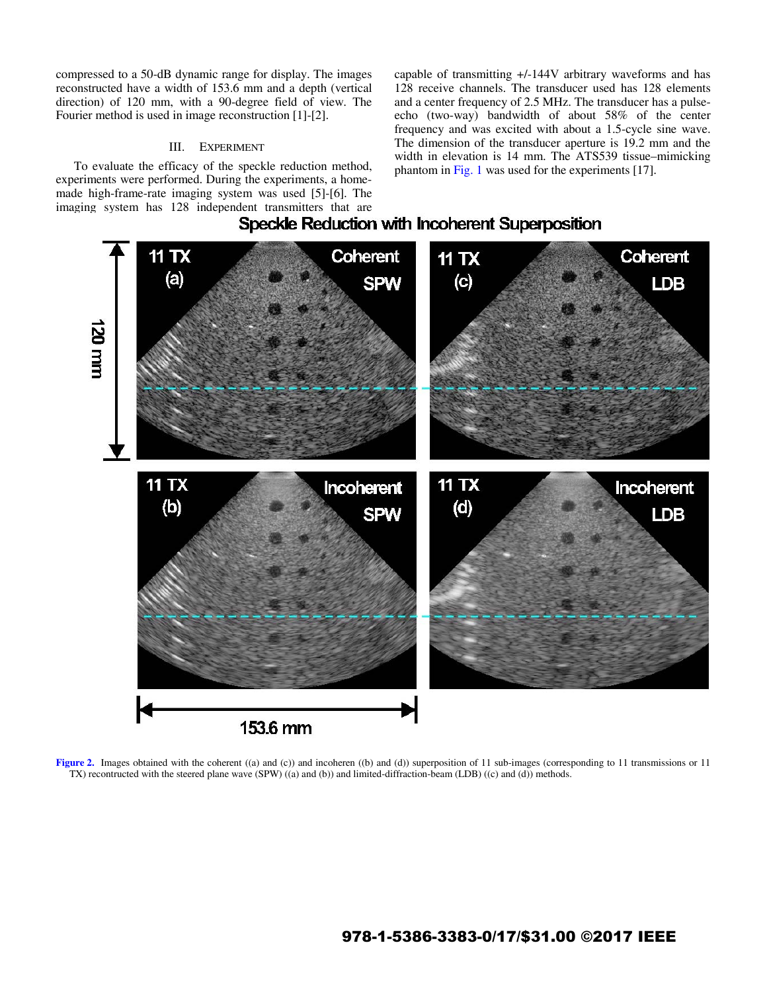compressed to a 50-dB dynamic range for display. The images reconstructed have a width of 153.6 mm and a depth (vertical direction) of 120 mm, with a 90-degree field of view. The Fourier method is used in image reconstruction [1]-[2].

## III. EXPERIMENT

To evaluate the efficacy of the speckle reduction method, experiments were performed. During the experiments, a homemade high-frame-rate imaging system was used [5]-[6]. The imaging system has 128 independent transmitters that are<br> **Speckle Reduction with Incoherent Superposition** 

capable of transmitting +/-144V arbitrary waveforms and has 128 receive channels. The transducer used has 128 elements and a center frequency of 2.5 MHz. The transducer has a pulseecho (two-way) bandwidth of about 58% of the center frequency and was excited with about a 1.5-cycle sine wave. The dimension of the transducer aperture is 19.2 mm and the width in elevation is 14 mm. The ATS539 tissue–mimicking phantom in Fig. 1 was used for the experiments [17].





**Figure 2.** Images obtained with the coherent ((a) and (c)) and incoheren ((b) and (d)) superposition of 11 sub-images (corresponding to 11 transmissions or 11 TX) recontructed with the steered plane wave (SPW) ((a) and (b)) and limited-diffraction-beam (LDB) ((c) and (d)) methods.

# 978-1-5386-3383-0/17/\$31.00 ©2017 IEEE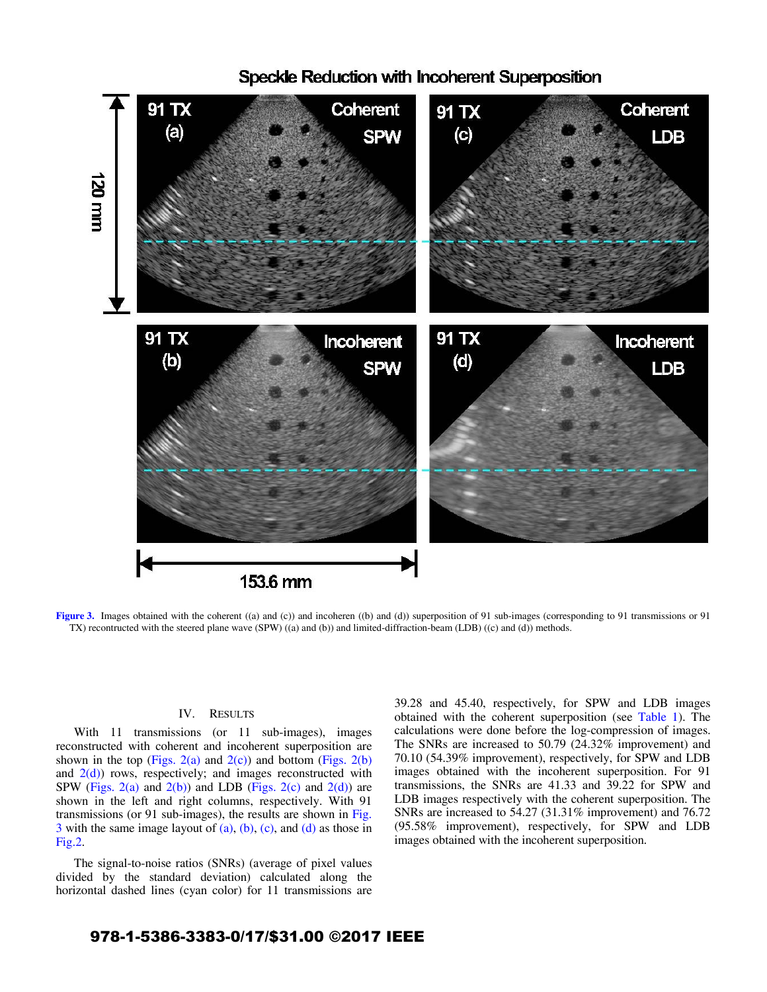

Speckle Reduction with Incoherent Superposition

**Figure 3.** Images obtained with the coherent ((a) and (c)) and incoheren ((b) and (d)) superposition of 91 sub-images (corresponding to 91 transmissions or 91 TX) recontructed with the steered plane wave (SPW) ((a) and (b)) and limited-diffraction-beam (LDB) ((c) and (d)) methods.

## IV. RESULTS

With 11 transmissions (or 11 sub-images), images reconstructed with coherent and incoherent superposition are shown in the top (Figs. 2(a) and  $2(c)$ ) and bottom (Figs. 2(b) and  $2(d)$ ) rows, respectively; and images reconstructed with SPW (Figs. 2(a) and  $2(b)$ ) and LDB (Figs. 2(c) and  $2(d)$ ) are shown in the left and right columns, respectively. With 91 transmissions (or 91 sub-images), the results are shown in Fig.  $3$  with the same image layout of (a), (b), (c), and (d) as those in Fig.2.

The signal-to-noise ratios (SNRs) (average of pixel values divided by the standard deviation) calculated along the horizontal dashed lines (cyan color) for 11 transmissions are 39.28 and 45.40, respectively, for SPW and LDB images obtained with the coherent superposition (see Table 1). The calculations were done before the log-compression of images. The SNRs are increased to 50.79 (24.32% improvement) and 70.10 (54.39% improvement), respectively, for SPW and LDB images obtained with the incoherent superposition. For 91 transmissions, the SNRs are 41.33 and 39.22 for SPW and LDB images respectively with the coherent superposition. The SNRs are increased to 54.27 (31.31% improvement) and 76.72 (95.58% improvement), respectively, for SPW and LDB images obtained with the incoherent superposition.